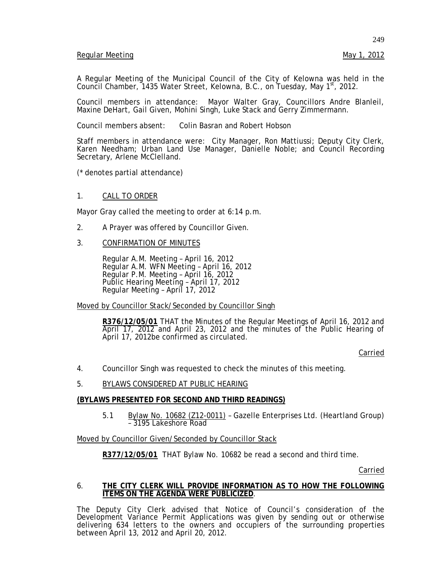## Regular Meeting May 1, 2012

249

A Regular Meeting of the Municipal Council of the City of Kelowna was held in the Council Chamber, 1435 Water Street, Kelowna, B.C., on Tuesday, May 1<sup>st</sup>, 2012.

Council members in attendance: Mayor Walter Gray, Councillors Andre Blanleil, Maxine DeHart, Gail Given, Mohini Singh, Luke Stack and Gerry Zimmermann.

Council members absent: Colin Basran and Robert Hobson

Staff members in attendance were: City Manager, Ron Mattiussi; Deputy City Clerk, Karen Needham; Urban Land Use Manager, Danielle Noble; and Council Recording Secretary, Arlene McClelland.

(\* denotes partial attendance)

#### 1. CALL TO ORDER

Mayor Gray called the meeting to order at 6:14 p.m.

- 2. A Prayer was offered by Councillor Given.
- 3. CONFIRMATION OF MINUTES

 Regular A.M. Meeting – April 16, 2012 Regular A.M. WFN Meeting – April 16, 2012 Regular P.M. Meeting – April 16, 2012 Public Hearing Meeting – April 17, 2012 Regular Meeting – April 17, 2012

Moved by Councillor Stack/Seconded by Councillor Singh

**R376/12/05/01** THAT the Minutes of the Regular Meetings of April 16, 2012 and April 17, 2012 and April 23, 2012 and the minutes of the Public Hearing of April 17, 2012be confirmed as circulated.

Carried

- 4. Councillor Singh was requested to check the minutes of this meeting.
- 5. BYLAWS CONSIDERED AT PUBLIC HEARING

#### **(BYLAWS PRESENTED FOR SECOND AND THIRD READINGS)**

5.1 Bylaw No. 10682 (Z12-0011) – Gazelle Enterprises Ltd. (Heartland Group) – 3195 Lakeshore Road

Moved by Councillor Given/Seconded by Councillor Stack

**R377/12/05/01** THAT Bylaw No. 10682 be read a second and third time.

Carried

#### 6. **THE CITY CLERK WILL PROVIDE INFORMATION AS TO HOW THE FOLLOWING ITEMS ON THE AGENDA WERE PUBLICIZED**.

The Deputy City Clerk advised that Notice of Council's consideration of the Development Variance Permit Applications was given by sending out or otherwise delivering 634 letters to the owners and occupiers of the surrounding properties between April 13, 2012 and April 20, 2012.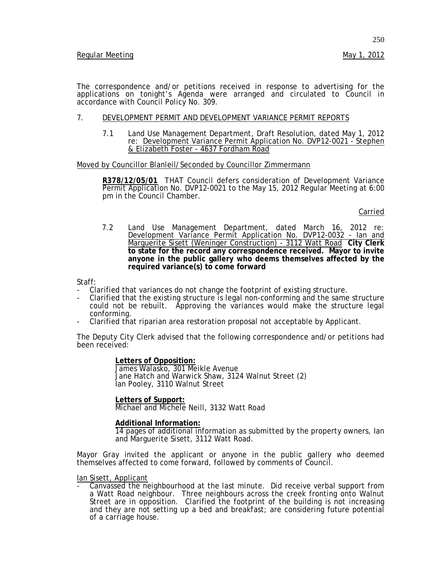The correspondence and/or petitions received in response to advertising for the applications on tonight's Agenda were arranged and circulated to Council in accordance with Council Policy No. 309.

## 7. DEVELOPMENT PERMIT AND DEVELOPMENT VARIANCE PERMIT REPORTS

 7.1 Land Use Management Department, Draft Resolution, dated May 1, 2012 re: Development Variance Permit Application No. DVP12-0021 - Stephen & Elizabeth Foster - 4637 Fordham Road

Moved by Councillor Blanleil/Seconded by Councillor Zimmermann

**R378/12/05/01** THAT Council defers consideration of Development Variance Permit Application No. DVP12-0021 to the May 15, 2012 Regular Meeting at 6:00 pm in the Council Chamber.

Carried

7.2 Land Use Management Department, dated March 16, 2012 re: Development Variance Permit Application No. DVP12-0032 - Ian and Marguerite Sisett (Weninger Construction) - 3112 Watt Road **City Clerk to state for the record any correspondence received. Mayor to invite anyone in the public gallery who deems themselves affected by the required variance(s) to come forward**

Staff:

- Clarified that variances do not change the footprint of existing structure.
- Clarified that the existing structure is legal non-conforming and the same structure could not be rebuilt. Approving the variances would make the structure legal conforming. - Clarified that riparian area restoration proposal not acceptable by Applicant.
- 

The Deputy City Clerk advised that the following correspondence and/or petitions had been received:

#### **Letters of Opposition:**

James Walasko, 301 Meikle Avenue Jane Hatch and Warwick Shaw, 3124 Walnut Street (2) Ian Pooley, 3110 Walnut Street

# **Letters of Support:**

Michael and Michele Neill, 3132 Watt Road

## **Additional Information:**

14 pages of additional information as submitted by the property owners, Ian and Marguerite Sisett, 3112 Watt Road.

Mayor Gray invited the applicant or anyone in the public gallery who deemed themselves affected to come forward, followed by comments of Council.

Ian Sisett, Applicant

- Canvassed the neighbourhood at the last minute. Did receive verbal support from a Watt Road neighbour. Three neighbours across the creek fronting onto Walnut Street are in opposition. Clarified the footprint of the building is not increasing and they are not setting up a bed and breakfast; are considering future potential of a carriage house.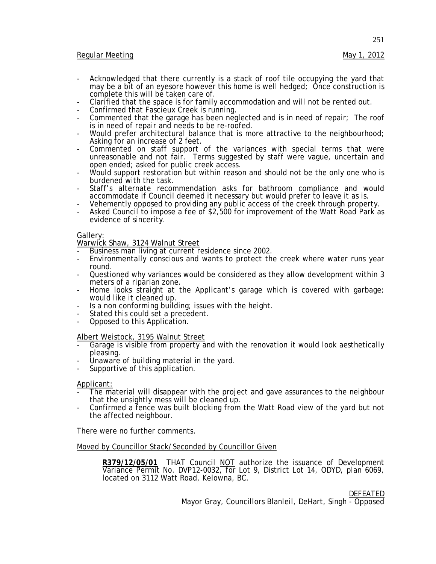## Regular Meeting May 1, 2012

- Acknowledged that there currently is a stack of roof tile occupying the yard that may be a bit of an eyesore however this home is well hedged; Once construction is complete this will be taken care of.
- Clarified that the space is for family accommodation and will not be rented out.<br>Confirmed that Fascieux Creek is running.
- 
- Commented that the garage has been neglected and is in need of repair; The roof is in need of repair and needs to be re-roofed.
- Would prefer architectural balance that is more attractive to the neighbourhood; Asking for an increase of 2 feet.
- Commented on staff support of the variances with special terms that were unreasonable and not fair. Terms suggested by staff were vague, uncertain and open ended; asked for public creek access.
- Would support restoration but within reason and should not be the only one who is burdened with the task.
- Staff's alternate recommendation asks for bathroom compliance and would accommodate if Council deemed it necessary but would prefer to leave it as is.
- Vehemently opposed to providing any public access of the creek through property.
- Asked Council to impose a fee of \$2,500 for improvement of the Watt Road Park as evidence of sincerity.

## Gallery:

- Warwick Shaw, 3124 Walnut Street<br>- Business man living at current residence since 2002.
- Environmentally conscious and wants to protect the creek where water runs year round.<br>Questioned why variances would be considered as they allow development within 3
- meters of a riparian zone.
- Home looks straight at the Applicant's garage which is covered with garbage; would like it cleaned up.
- Is a non conforming building; issues with the height.
- Stated this could set a precedent.<br>Opposed to this Application.
- 

Albert Weistock, 3195 Walnut Street

- Garage is visible from property and with the renovation it would look aesthetically pleasing.
- Unaware of building material in the yard.<br>Supportive of this application.
- 

## Applicant:

- The material will disappear with the project and gave assurances to the neighbour that the unsightly mess will be cleaned up.
- Confirmed a fence was built blocking from the Watt Road view of the yard but not the affected neighbour.

There were no further comments.

Moved by Councillor Stack/Seconded by Councillor Given

**R379/12/05/01** THAT Council NOT authorize the issuance of Development Variance Permit No. DVP12-0032, for Lot 9, District Lot 14, ODYD, plan 6069, located on 3112 Watt Road, Kelowna, BC.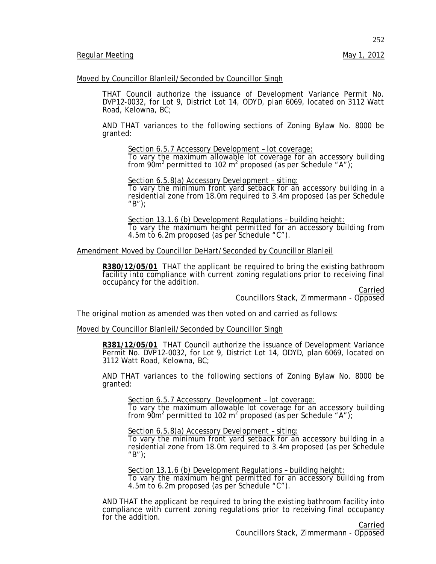252

#### Moved by Councillor Blanleil/Seconded by Councillor Singh

THAT Council authorize the issuance of Development Variance Permit No. DVP12-0032, for Lot 9, District Lot 14, ODYD, plan 6069, located on 3112 Watt Road, Kelowna, BC;

AND THAT variances to the following sections of Zoning Bylaw No. 8000 be granted:

Section 6.5.7 Accessory Development – lot coverage:

To vary the maximum allowable lot coverage for an accessory building from  $90m^2$  permitted to 102 m<sup>2</sup> proposed (as per Schedule "A");

Section 6.5.8(a) Accessory Development - siting:

To vary the minimum front yard setback for an accessory building in a residential zone from 18.0m required to 3.4m proposed (as per Schedule " $B$ ");

Section 13.1.6 (b) Development Regulations – building height: To vary the maximum height permitted for an accessory building from 4.5m to 6.2m proposed (as per Schedule "C").

Amendment Moved by Councillor DeHart/Seconded by Councillor Blanleil

**R380/12/05/01** THAT the applicant be required to bring the existing bathroom facility into compliance with current zoning regulations prior to receiving final occupancy for the addition.

Carried Councillors Stack, Zimmermann - Opposed

The original motion as amended was then voted on and carried as follows:

Moved by Councillor Blanleil/Seconded by Councillor Singh

**R381/12/05/01** THAT Council authorize the issuance of Development Variance Permit No. DVP12-0032, for Lot 9, District Lot 14, ODYD, plan 6069, located on 3112 Watt Road, Kelowna, BC;

AND THAT variances to the following sections of Zoning Bylaw No. 8000 be granted:

Section 6.5.7 Accessory Development – lot coverage:

To vary the maximum allowable lot coverage for an accessory building from  $90m^2$  permitted to 102 m<sup>2</sup> proposed (as per Schedule "A");

Section 6.5.8(a) Accessory Development – siting:

To vary the minimum front yard setback for an accessory building in a residential zone from 18.0m required to 3.4m proposed (as per Schedule " $B$ ");

Section 13.1.6 (b) Development Regulations – building height: To vary the maximum height permitted for an accessory building from 4.5m to 6.2m proposed (as per Schedule "C").

AND THAT the applicant be required to bring the existing bathroom facility into compliance with current zoning regulations prior to receiving final occupancy for the addition.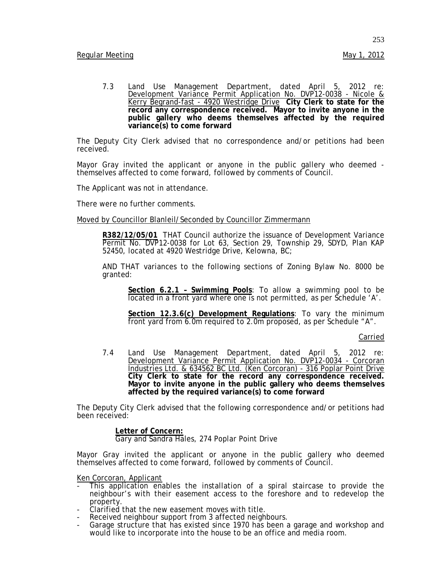7.3 Land Use Management Department, dated April 5, 2012 re: Development Variance Permit Application No. DVP12-0038 - Nicole & Kerry Begrand-fast - 4920 Westridge Drive **City Clerk to state for the record any correspondence received. Mayor to invite anyone in the public gallery who deems themselves affected by the required variance(s) to come forward**

The Deputy City Clerk advised that no correspondence and/or petitions had been received.

Mayor Gray invited the applicant or anyone in the public gallery who deemed themselves affected to come forward, followed by comments of Council.

The Applicant was not in attendance.

There were no further comments.

#### Moved by Councillor Blanleil/Seconded by Councillor Zimmermann

**R382/12/05/01** THAT Council authorize the issuance of Development Variance Permit No. DVP12-0038 for Lot 63, Section 29, Township 29, SDYD, Plan KAP 52450, located at 4920 Westridge Drive, Kelowna, BC;

AND THAT variances to the following sections of Zoning Bylaw No. 8000 be granted:

**Section 6.2.1 – Swimming Pools**: To allow a swimming pool to be located in a front yard where one is not permitted, as per Schedule 'A'.

**Section 12.3.6(c) Development Regulations**: To vary the minimum front yard from 6.0m required to 2.0m proposed, as per Schedule "A".

Carried

 7.4 Land Use Management Department, dated April 5, 2012 re: Development Variance Permit Application No. DVP12-0034 - Corcoran Industries Ltd. & 634562 BC Ltd. (Ken Corcoran) - 316 Poplar Point Drive **City Clerk to state for the record any correspondence received. Mayor to invite anyone in the public gallery who deems themselves affected by the required variance(s) to come forward**

The Deputy City Clerk advised that the following correspondence and/or petitions had been received:

> **Letter of Concern:** Gary and Sandra Hales, 274 Poplar Point Drive

Mayor Gray invited the applicant or anyone in the public gallery who deemed themselves affected to come forward, followed by comments of Council.

Ken Corcoran, Applicant

- This application enables the installation of a spiral staircase to provide the neighbour's with their easement access to the foreshore and to redevelop the property.<br>Clarified that the new easement moves with title.
- 
- Received neighbour support from 3 affected neighbours.
- Garage structure that has existed since 1970 has been a garage and workshop and would like to incorporate into the house to be an office and media room.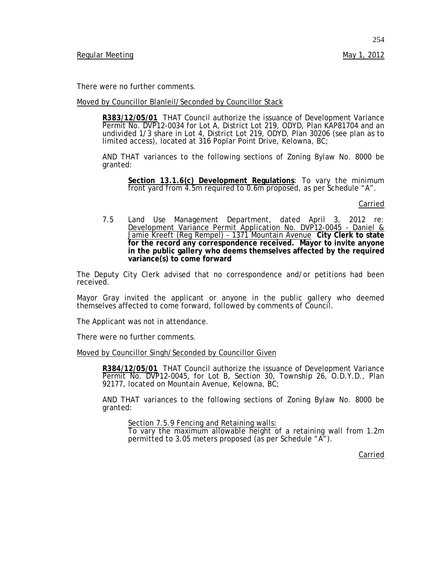There were no further comments.

#### Moved by Councillor Blanleil/Seconded by Councillor Stack

**R383/12/05/01** THAT Council authorize the issuance of Development Variance Permit No. DVP12-0034 for Lot A, District Lot 219, ODYD, Plan KAP81704 and an undivided 1/3 share in Lot 4, District Lot 219, ODYD, Plan 30206 (see plan as to limited access), located at 316 Poplar Point Drive, Kelowna, BC;

AND THAT variances to the following sections of Zoning Bylaw No. 8000 be granted:

**Section 13.1.6(c) Development Regulations**: To vary the minimum front yard from 4.5m required to 0.6m proposed, as per Schedule "A".

Carried

 7.5 Land Use Management Department, dated April 3, 2012 re: Development Variance Permit Application No. DVP12-0045 - Daniel & Jamie Kreeft (Reg Rempel) - 1371 Mountain Avenue **City Clerk to state for the record any correspondence received. Mayor to invite anyone in the public gallery who deems themselves affected by the required variance(s) to come forward**

The Deputy City Clerk advised that no correspondence and/or petitions had been received.

Mayor Gray invited the applicant or anyone in the public gallery who deemed themselves affected to come forward, followed by comments of Council.

The Applicant was not in attendance.

There were no further comments.

Moved by Councillor Singh/Seconded by Councillor Given

**R384/12/05/01** THAT Council authorize the issuance of Development Variance Permit No. DVP12-0045, for Lot B, Section 30, Township 26, O.D.Y.D., Plan 92177, located on Mountain Avenue, Kelowna, BC;

AND THAT variances to the following sections of Zoning Bylaw No. 8000 be granted:

Section 7.5.9 Fencing and Retaining walls:

To vary the maximum allowable height of a retaining wall from 1.2m permitted to 3.05 meters proposed (as per Schedule  $\angle A''$ ).

Carried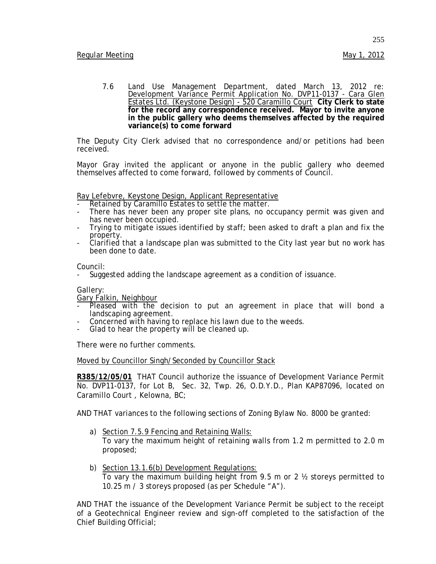7.6 Land Use Management Department, dated March 13, 2012 re: Development Variance Permit Application No. DVP11-0137 - Cara Glen Estates Ltd. (Keystone Design) - 520 Caramillo Court **City Clerk to state for the record any correspondence received. Mayor to invite anyone in the public gallery who deems themselves affected by the required variance(s) to come forward**

The Deputy City Clerk advised that no correspondence and/or petitions had been received.

Mayor Gray invited the applicant or anyone in the public gallery who deemed themselves affected to come forward, followed by comments of Council.

Ray Lefebvre, Keystone Design, Applicant Representative<br>- Retained by Caramillo Estates to settle the matter.

- 
- There has never been any proper site plans, no occupancy permit was given and has never been occupied.
- Trying to mitigate issues identified by staff; been asked to draft a plan and fix the property.
- Clarified that a landscape plan was submitted to the City last year but no work has been done to date.

Council:

- Suggested adding the landscape agreement as a condition of issuance.

## Gallery:

Gary Falkin, Neighbour

- Pleased with the decision to put an agreement in place that will bond a landscaping agreement.
- Concerned with having to replace his lawn due to the weeds. Glad to hear the property will be cleaned up.
- 

There were no further comments.

## Moved by Councillor Singh/Seconded by Councillor Stack

**R385/12/05/01** THAT Council authorize the issuance of Development Variance Permit No. DVP11-0137, for Lot B, Sec. 32, Twp. 26, O.D.Y.D., Plan KAP87096, located on Caramillo Court , Kelowna, BC;

AND THAT variances to the following sections of Zoning Bylaw No. 8000 be granted:

- a) Section 7.5.9 Fencing and Retaining Walls: To vary the maximum height of retaining walls from 1.2 m permitted to 2.0 m proposed;
- b) Section 13.1.6(b) Development Regulations: To vary the maximum building height from 9.5 m or 2  $\frac{1}{2}$  storeys permitted to 10.25 m / 3 storeys proposed (as per Schedule "A").

AND THAT the issuance of the Development Variance Permit be subject to the receipt of a Geotechnical Engineer review and sign-off completed to the satisfaction of the Chief Building Official;